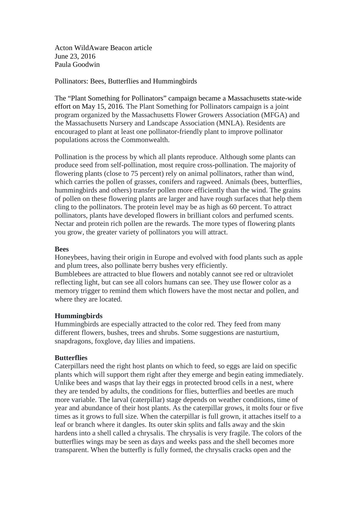Acton WildAware Beacon article June 23, 2016 Paula Goodwin

Pollinators: Bees, Butterflies and Hummingbirds

The "Plant Something for Pollinators" campaign became a Massachusetts state-wide effort on May 15, 2016. The Plant Something for Pollinators campaign is a joint program organized by the Massachusetts Flower Growers Association (MFGA) and the Massachusetts Nursery and Landscape Association (MNLA). Residents are encouraged to plant at least one pollinator-friendly plant to improve pollinator populations across the Commonwealth.

Pollination is the process by which all plants reproduce. Although some plants can produce seed from self-pollination, most require cross-pollination. The majority of flowering plants (close to 75 percent) rely on animal pollinators, rather than wind, which carries the pollen of grasses, conifers and ragweed. Animals (bees, butterflies, hummingbirds and others) transfer pollen more efficiently than the wind. The grains of pollen on these flowering plants are larger and have rough surfaces that help them cling to the pollinators. The protein level may be as high as 60 percent. To attract pollinators, plants have developed flowers in brilliant colors and perfumed scents. Nectar and protein rich pollen are the rewards. The more types of flowering plants you grow, the greater variety of pollinators you will attract.

## **Bees**

Honeybees, having their origin in Europe and evolved with food plants such as apple and plum trees, also pollinate berry bushes very efficiently. Bumblebees are attracted to blue flowers and notably cannot see red or ultraviolet reflecting light, but can see all colors humans can see. They use flower color as a

memory trigger to remind them which flowers have the most nectar and pollen, and where they are located.

## **Hummingbirds**

Hummingbirds are especially attracted to the color red. They feed from many different flowers, bushes, trees and shrubs. Some suggestions are nasturtium, snapdragons, foxglove, day lilies and impatiens.

## **Butterflies**

Caterpillars need the right host plants on which to feed, so eggs are laid on specific plants which will support them right after they emerge and begin eating immediately. Unlike bees and wasps that lay their eggs in protected brood cells in a nest, where they are tended by adults, the conditions for flies, butterflies and beetles are much more variable. The larval (caterpillar) stage depends on weather conditions, time of year and abundance of their host plants. As the caterpillar grows, it molts four or five times as it grows to full size. When the caterpillar is full grown, it attaches itself to a leaf or branch where it dangles. Its outer skin splits and falls away and the skin hardens into a shell called a chrysalis. The chrysalis is very fragile. The colors of the butterflies wings may be seen as days and weeks pass and the shell becomes more transparent. When the butterfly is fully formed, the chrysalis cracks open and the